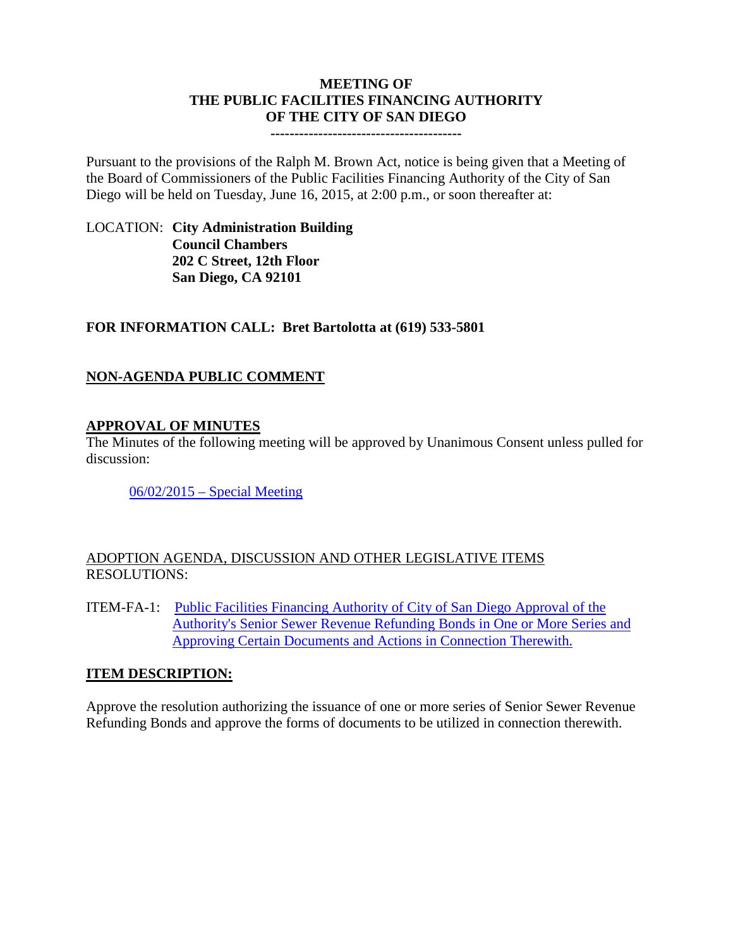#### **MEETING OF THE PUBLIC FACILITIES FINANCING AUTHORITY OF THE CITY OF SAN DIEGO**

**----------------------------------------**

Pursuant to the provisions of the Ralph M. Brown Act, notice is being given that a Meeting of the Board of Commissioners of the Public Facilities Financing Authority of the City of San Diego will be held on Tuesday, June 16, 2015, at 2:00 p.m., or soon thereafter at:

# LOCATION: **City Administration Building Council Chambers 202 C Street, 12th Floor San Diego, CA 92101**

# **FOR INFORMATION CALL: Bret Bartolotta at (619) 533-5801**

# **NON-AGENDA PUBLIC COMMENT**

### **APPROVAL OF MINUTES**

The Minutes of the following meeting will be approved by Unanimous Consent unless pulled for discussion:

[06/02/2015 –](http://www.sandiego.gov/city-clerk/pdf/pffa/pffaminutes150602.pdf) Special Meeting

### ADOPTION AGENDA, DISCUSSION AND OTHER LEGISLATIVE ITEMS RESOLUTIONS:

ITEM-FA-1: [Public Facilities Financing Authority of City of San Diego Approval of the](http://www.sandiego.gov/city-clerk/pdf/pffa/pffaexhibit150616.pdf)  [Authority's Senior Sewer Revenue Refunding Bonds in One or More Series and](http://www.sandiego.gov/city-clerk/pdf/pffa/pffaexhibit150616.pdf)  [Approving Certain Documents and Actions in Connection Therewith.](http://www.sandiego.gov/city-clerk/pdf/pffa/pffaexhibit150616.pdf)

### **ITEM DESCRIPTION:**

Approve the resolution authorizing the issuance of one or more series of Senior Sewer Revenue Refunding Bonds and approve the forms of documents to be utilized in connection therewith.